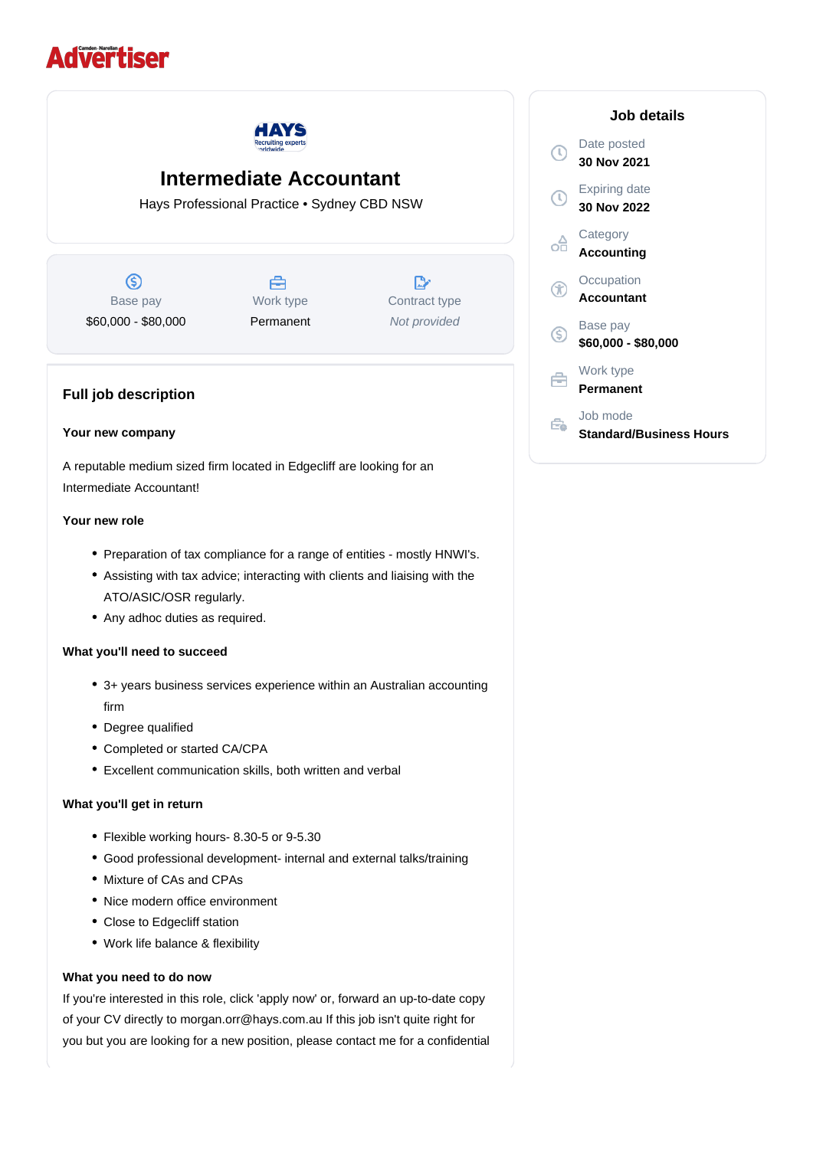# **Advertiser**



## **Intermediate Accountant**

Hays Professional Practice • Sydney CBD NSW

 $\circledS$ Base pay \$60,000 - \$80,000



 $\mathbb{R}^n$ Contract type Not provided

### **Full job description**

#### **Your new company**

A reputable medium sized firm located in Edgecliff are looking for an Intermediate Accountant!

#### **Your new role**

- Preparation of tax compliance for a range of entities mostly HNWI's.
- Assisting with tax advice; interacting with clients and liaising with the ATO/ASIC/OSR regularly.
- Any adhoc duties as required.

#### **What you'll need to succeed**

- 3+ years business services experience within an Australian accounting firm
- Degree qualified
- Completed or started CA/CPA
- Excellent communication skills, both written and verbal

#### **What you'll get in return**

- Flexible working hours- 8.30-5 or 9-5.30
- Good professional development- internal and external talks/training
- Mixture of CAs and CPAs
- Nice modern office environment
- Close to Edgecliff station
- Work life balance & flexibility

#### **What you need to do now**

If you're interested in this role, click 'apply now' or, forward an up-to-date copy of your CV directly to morgan.orr@hays.com.au If this job isn't quite right for you but you are looking for a new position, please contact me for a confidential